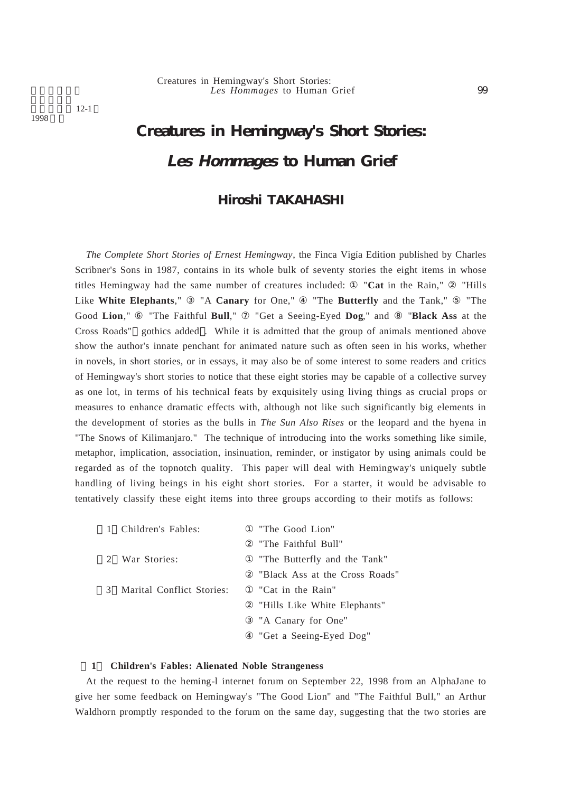# Les Hommages to Human Grief 99 Creatures in Hemingway's Short Stories:

 $12 - 1$ 

1998

# **Creatures in Hemingway's Short Stories: Les Hommages to Human Grief**

# **Hiroshi TAKAHASHI**

*The Complete Short Stories of Ernest Hemingway*, the Finca Vigía Edition published by Charles Scribner's Sons in 1987, contains in its whole bulk of seventy stories the eight items in whose titles Hemingway had the same number of creatures included: "**Cat** in the Rain," "Hills Like **White Elephants**," "A **Canary** for One," "The **Butterfly** and the Tank," "The Good **Lion**," "The Faithful **Bull**," "Get a Seeing-Eyed **Dog**," and "**Black Ass** at the Cross Roads" gothics added . While it is admitted that the group of animals mentioned above show the author's innate penchant for animated nature such as often seen in his works, whether in novels, in short stories, or in essays, it may also be of some interest to some readers and critics of Hemingway's short stories to notice that these eight stories may be capable of a collective survey as one lot, in terms of his technical feats by exquisitely using living things as crucial props or measures to enhance dramatic effects with, although not like such significantly big elements in the development of stories as the bulls in *The Sun Also Rises* or the leopard and the hyena in "The Snows of Kilimanjaro." The technique of introducing into the works something like simile, metaphor, implication, association, insinuation, reminder, or instigator by using animals could be regarded as of the topnotch quality. This paper will deal with Hemingway's uniquely subtle handling of living beings in his eight short stories. For a starter, it would be advisable to tentatively classify these eight items into three groups according to their motifs as follows:

| 1 Children's Fables:        | "The Good Lion"                |
|-----------------------------|--------------------------------|
|                             | "The Faithful Bull"            |
| 2 War Stories:              | "The Butterfly and the Tank"   |
|                             | "Black Ass at the Cross Roads" |
| 3 Marital Conflict Stories: | "Cat in the Rain"              |
|                             | "Hills Like White Elephants"   |
|                             | "A Canary for One"             |
|                             | "Get a Seeing-Eyed Dog"        |

# **1 Children's Fables: Alienated Noble Strangeness**

At the request to the heming-l internet forum on September 22, 1998 from an AlphaJane to give her some feedback on Hemingway's "The Good Lion" and "The Faithful Bull," an Arthur Waldhorn promptly responded to the forum on the same day, suggesting that the two stories are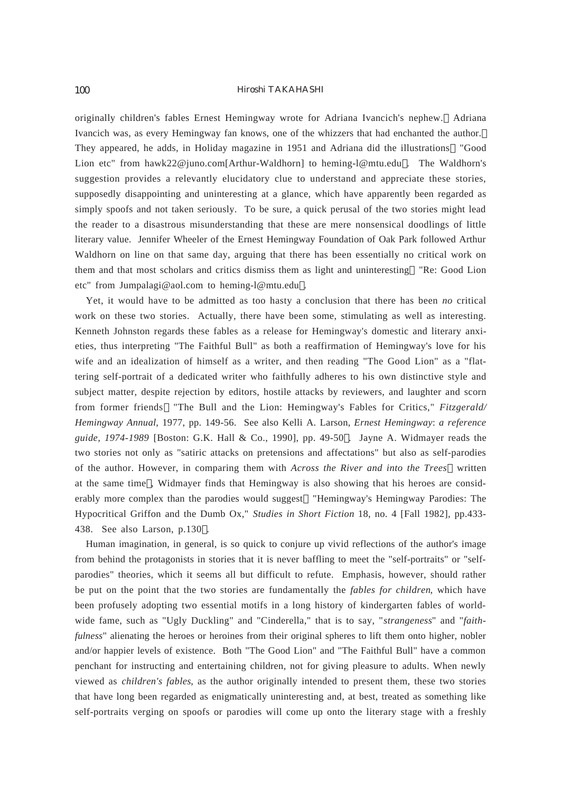originally children's fables Ernest Hemingway wrote for Adriana Ivancich's nephew. Adriana Ivancich was, as every Hemingway fan knows, one of the whizzers that had enchanted the author. They appeared, he adds, in Holiday magazine in 1951 and Adriana did the illustrations "Good Lion etc" from hawk22@juno.com[Arthur-Waldhorn] to heming-l@mtu.edu . The Waldhorn's suggestion provides a relevantly elucidatory clue to understand and appreciate these stories, supposedly disappointing and uninteresting at a glance, which have apparently been regarded as simply spoofs and not taken seriously. To be sure, a quick perusal of the two stories might lead the reader to a disastrous misunderstanding that these are mere nonsensical doodlings of little literary value. Jennifer Wheeler of the Ernest Hemingway Foundation of Oak Park followed Arthur Waldhorn on line on that same day, arguing that there has been essentially no critical work on them and that most scholars and critics dismiss them as light and uninteresting "Re: Good Lion etc" from Jumpalagi@aol.com to heming-l@mtu.edu .

Yet, it would have to be admitted as too hasty a conclusion that there has been *no* critical work on these two stories. Actually, there have been some, stimulating as well as interesting. Kenneth Johnston regards these fables as a release for Hemingway's domestic and literary anxieties, thus interpreting "The Faithful Bull" as both a reaffirmation of Hemingway's love for his wife and an idealization of himself as a writer, and then reading "The Good Lion" as a "flattering self-portrait of a dedicated writer who faithfully adheres to his own distinctive style and subject matter, despite rejection by editors, hostile attacks by reviewers, and laughter and scorn from former friends "The Bull and the Lion: Hemingway's Fables for Critics," *Fitzgerald/ Hemingway Annual*, 1977, pp. 149-56. See also Kelli A. Larson, *Ernest Hemingway*: *a reference guide, 1974-1989* [Boston: G.K. Hall & Co., 1990], pp. 49-50 . Jayne A. Widmayer reads the two stories not only as "satiric attacks on pretensions and affectations" but also as self-parodies of the author. However, in comparing them with *Across the River and into the Trees* written at the same time , Widmayer finds that Hemingway is also showing that his heroes are considerably more complex than the parodies would suggest "Hemingway's Hemingway Parodies: The Hypocritical Griffon and the Dumb Ox," *Studies in Short Fiction* 18, no. 4 [Fall 1982], pp.433- 438. See also Larson, p.130 .

Human imagination, in general, is so quick to conjure up vivid reflections of the author's image from behind the protagonists in stories that it is never baffling to meet the "self-portraits" or "selfparodies" theories, which it seems all but difficult to refute. Emphasis, however, should rather be put on the point that the two stories are fundamentally the *fables for children*, which have been profusely adopting two essential motifs in a long history of kindergarten fables of worldwide fame, such as "Ugly Duckling" and "Cinderella," that is to say, "*strangeness*" and "*faithfulness*" alienating the heroes or heroines from their original spheres to lift them onto higher, nobler and/or happier levels of existence. Both "The Good Lion" and "The Faithful Bull" have a common penchant for instructing and entertaining children, not for giving pleasure to adults. When newly viewed as *children's fables*, as the author originally intended to present them, these two stories that have long been regarded as enigmatically uninteresting and, at best, treated as something like self-portraits verging on spoofs or parodies will come up onto the literary stage with a freshly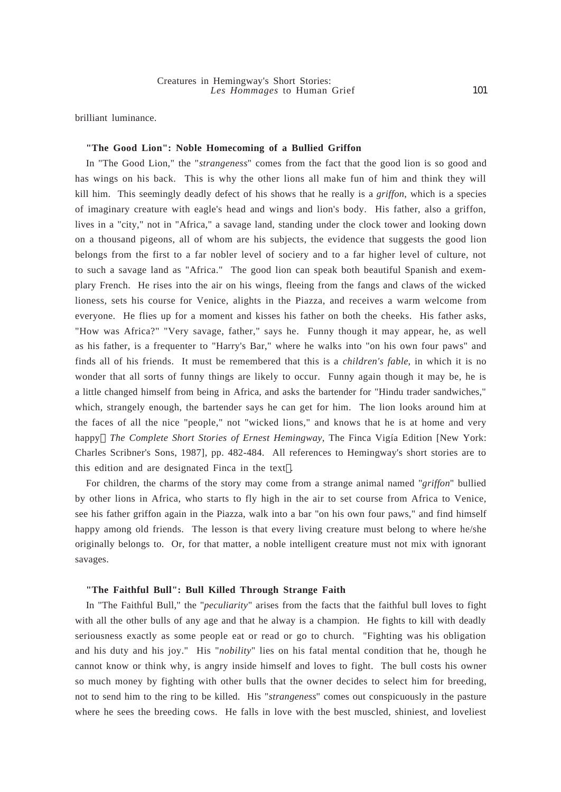brilliant luminance.

# **"The Good Lion": Noble Homecoming of a Bullied Griffon**

In "The Good Lion," the "*strangeness*" comes from the fact that the good lion is so good and has wings on his back. This is why the other lions all make fun of him and think they will kill him. This seemingly deadly defect of his shows that he really is a *griffon*, which is a species of imaginary creature with eagle's head and wings and lion's body. His father, also a griffon, lives in a "city," not in "Africa," a savage land, standing under the clock tower and looking down on a thousand pigeons, all of whom are his subjects, the evidence that suggests the good lion belongs from the first to a far nobler level of sociery and to a far higher level of culture, not to such a savage land as "Africa." The good lion can speak both beautiful Spanish and exemplary French. He rises into the air on his wings, fleeing from the fangs and claws of the wicked lioness, sets his course for Venice, alights in the Piazza, and receives a warm welcome from everyone. He flies up for a moment and kisses his father on both the cheeks. His father asks, "How was Africa?" "Very savage, father," says he. Funny though it may appear, he, as well as his father, is a frequenter to "Harry's Bar," where he walks into "on his own four paws" and finds all of his friends. It must be remembered that this is a *children's fable*, in which it is no wonder that all sorts of funny things are likely to occur. Funny again though it may be, he is a little changed himself from being in Africa, and asks the bartender for "Hindu trader sandwiches," which, strangely enough, the bartender says he can get for him. The lion looks around him at the faces of all the nice "people," not "wicked lions," and knows that he is at home and very happy *The Complete Short Stories of Ernest Hemingway*, The Finca Vigía Edition [New York: Charles Scribner's Sons, 1987], pp. 482-484. All references to Hemingway's short stories are to this edition and are designated Finca in the text .

For children, the charms of the story may come from a strange animal named "*griffon*" bullied by other lions in Africa, who starts to fly high in the air to set course from Africa to Venice, see his father griffon again in the Piazza, walk into a bar "on his own four paws," and find himself happy among old friends. The lesson is that every living creature must belong to where he/she originally belongs to. Or, for that matter, a noble intelligent creature must not mix with ignorant savages.

# **"The Faithful Bull": Bull Killed Through Strange Faith**

In "The Faithful Bull," the "*peculiarity*" arises from the facts that the faithful bull loves to fight with all the other bulls of any age and that he alway is a champion. He fights to kill with deadly seriousness exactly as some people eat or read or go to church. "Fighting was his obligation and his duty and his joy." His "*nobility*" lies on his fatal mental condition that he, though he cannot know or think why, is angry inside himself and loves to fight. The bull costs his owner so much money by fighting with other bulls that the owner decides to select him for breeding, not to send him to the ring to be killed. His "*strangeness*" comes out conspicuously in the pasture where he sees the breeding cows. He falls in love with the best muscled, shiniest, and loveliest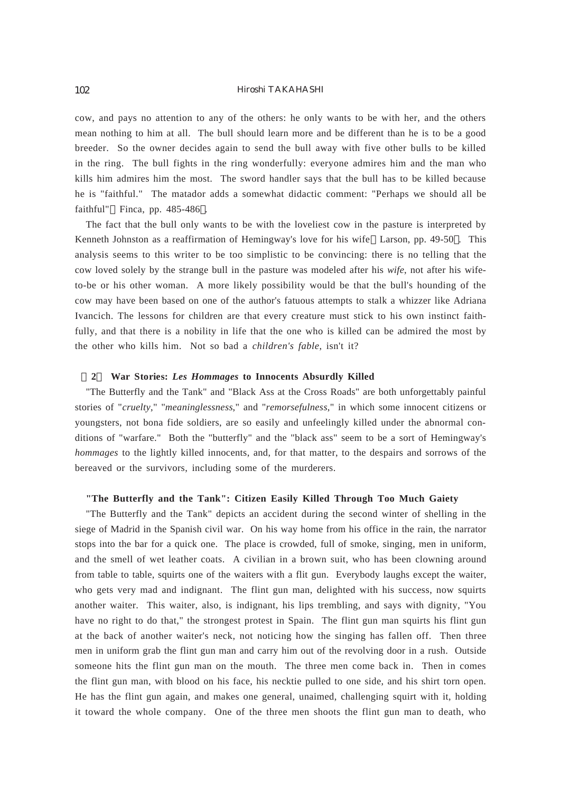cow, and pays no attention to any of the others: he only wants to be with her, and the others mean nothing to him at all. The bull should learn more and be different than he is to be a good breeder. So the owner decides again to send the bull away with five other bulls to be killed in the ring. The bull fights in the ring wonderfully: everyone admires him and the man who kills him admires him the most. The sword handler says that the bull has to be killed because he is "faithful." The matador adds a somewhat didactic comment: "Perhaps we should all be faithful" Finca, pp. 485-486.

The fact that the bull only wants to be with the loveliest cow in the pasture is interpreted by Kenneth Johnston as a reaffirmation of Hemingway's love for his wife Larson, pp. 49-50 . This analysis seems to this writer to be too simplistic to be convincing: there is no telling that the cow loved solely by the strange bull in the pasture was modeled after his *wife*, not after his wifeto-be or his other woman. A more likely possibility would be that the bull's hounding of the cow may have been based on one of the author's fatuous attempts to stalk a whizzer like Adriana Ivancich. The lessons for children are that every creature must stick to his own instinct faithfully, and that there is a nobility in life that the one who is killed can be admired the most by the other who kills him. Not so bad a *children's fable*, isn't it?

## **2 War Stories:** *Les Hommages* **to Innocents Absurdly Killed**

"The Butterfly and the Tank" and "Black Ass at the Cross Roads" are both unforgettably painful stories of "*cruelty*," "*meaninglessness*," and "*remorsefulness*," in which some innocent citizens or youngsters, not bona fide soldiers, are so easily and unfeelingly killed under the abnormal conditions of "warfare." Both the "butterfly" and the "black ass" seem to be a sort of Hemingway's *hommages* to the lightly killed innocents, and, for that matter, to the despairs and sorrows of the bereaved or the survivors, including some of the murderers.

#### **"The Butterfly and the Tank": Citizen Easily Killed Through Too Much Gaiety**

"The Butterfly and the Tank" depicts an accident during the second winter of shelling in the siege of Madrid in the Spanish civil war. On his way home from his office in the rain, the narrator stops into the bar for a quick one. The place is crowded, full of smoke, singing, men in uniform, and the smell of wet leather coats. A civilian in a brown suit, who has been clowning around from table to table, squirts one of the waiters with a flit gun. Everybody laughs except the waiter, who gets very mad and indignant. The flint gun man, delighted with his success, now squirts another waiter. This waiter, also, is indignant, his lips trembling, and says with dignity, "You have no right to do that," the strongest protest in Spain. The flint gun man squirts his flint gun at the back of another waiter's neck, not noticing how the singing has fallen off. Then three men in uniform grab the flint gun man and carry him out of the revolving door in a rush. Outside someone hits the flint gun man on the mouth. The three men come back in. Then in comes the flint gun man, with blood on his face, his necktie pulled to one side, and his shirt torn open. He has the flint gun again, and makes one general, unaimed, challenging squirt with it, holding it toward the whole company. One of the three men shoots the flint gun man to death, who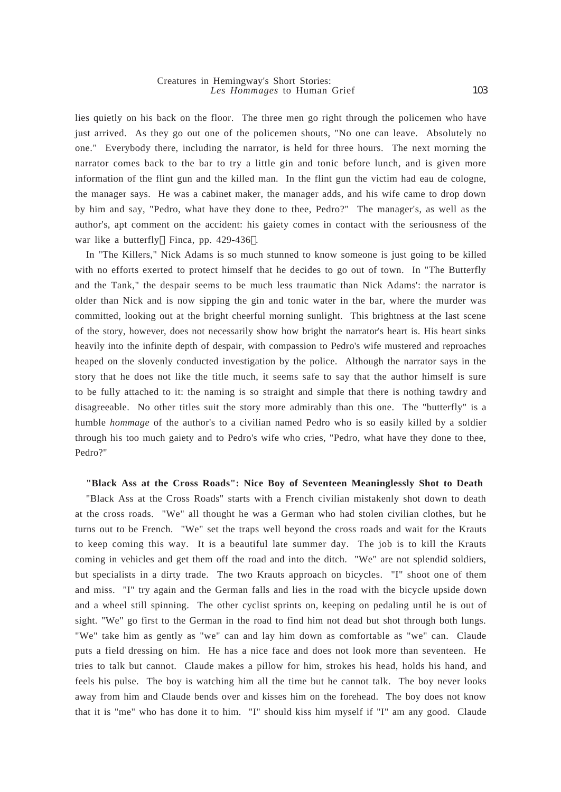#### Creatures in Hemingway's Short Stories: *Les Hommages* to Human Grief

lies quietly on his back on the floor. The three men go right through the policemen who have just arrived. As they go out one of the policemen shouts, "No one can leave. Absolutely no one." Everybody there, including the narrator, is held for three hours. The next morning the narrator comes back to the bar to try a little gin and tonic before lunch, and is given more information of the flint gun and the killed man. In the flint gun the victim had eau de cologne, the manager says. He was a cabinet maker, the manager adds, and his wife came to drop down by him and say, "Pedro, what have they done to thee, Pedro?" The manager's, as well as the author's, apt comment on the accident: his gaiety comes in contact with the seriousness of the war like a butterfly Finca, pp. 429-436 .

In "The Killers," Nick Adams is so much stunned to know someone is just going to be killed with no efforts exerted to protect himself that he decides to go out of town. In "The Butterfly and the Tank," the despair seems to be much less traumatic than Nick Adams': the narrator is older than Nick and is now sipping the gin and tonic water in the bar, where the murder was committed, looking out at the bright cheerful morning sunlight. This brightness at the last scene of the story, however, does not necessarily show how bright the narrator's heart is. His heart sinks heavily into the infinite depth of despair, with compassion to Pedro's wife mustered and reproaches heaped on the slovenly conducted investigation by the police. Although the narrator says in the story that he does not like the title much, it seems safe to say that the author himself is sure to be fully attached to it: the naming is so straight and simple that there is nothing tawdry and disagreeable. No other titles suit the story more admirably than this one. The "butterfly" is a humble *hommage* of the author's to a civilian named Pedro who is so easily killed by a soldier through his too much gaiety and to Pedro's wife who cries, "Pedro, what have they done to thee, Pedro?"

#### **"Black Ass at the Cross Roads": Nice Boy of Seventeen Meaninglessly Shot to Death**

"Black Ass at the Cross Roads" starts with a French civilian mistakenly shot down to death at the cross roads. "We" all thought he was a German who had stolen civilian clothes, but he turns out to be French. "We" set the traps well beyond the cross roads and wait for the Krauts to keep coming this way. It is a beautiful late summer day. The job is to kill the Krauts coming in vehicles and get them off the road and into the ditch. "We" are not splendid soldiers, but specialists in a dirty trade. The two Krauts approach on bicycles. "I" shoot one of them and miss. "I" try again and the German falls and lies in the road with the bicycle upside down and a wheel still spinning. The other cyclist sprints on, keeping on pedaling until he is out of sight. "We" go first to the German in the road to find him not dead but shot through both lungs. "We" take him as gently as "we" can and lay him down as comfortable as "we" can. Claude puts a field dressing on him. He has a nice face and does not look more than seventeen. He tries to talk but cannot. Claude makes a pillow for him, strokes his head, holds his hand, and feels his pulse. The boy is watching him all the time but he cannot talk. The boy never looks away from him and Claude bends over and kisses him on the forehead. The boy does not know that it is "me" who has done it to him. "I" should kiss him myself if "I" am any good. Claude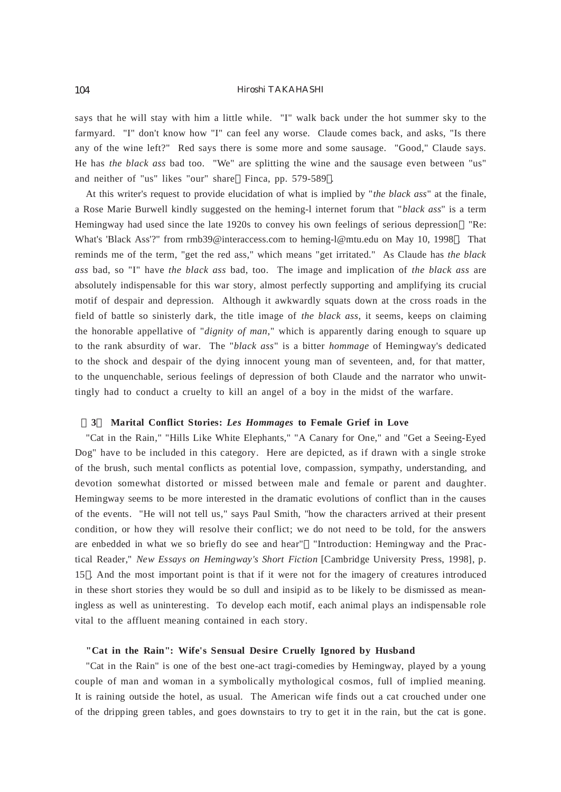says that he will stay with him a little while. "I" walk back under the hot summer sky to the farmyard. "I" don't know how "I" can feel any worse. Claude comes back, and asks, "Is there any of the wine left?" Red says there is some more and some sausage. "Good," Claude says. He has *the black ass* bad too. "We" are splitting the wine and the sausage even between "us" and neither of "us" likes "our" share Finca, pp. 579-589 .

At this writer's request to provide elucidation of what is implied by "*the black ass*" at the finale, a Rose Marie Burwell kindly suggested on the heming-l internet forum that "*black ass*" is a term Hemingway had used since the late 1920s to convey his own feelings of serious depression "Re: What's 'Black Ass'?" from rmb39@interaccess.com to heming-l@mtu.edu on May 10, 1998 . That reminds me of the term, "get the red ass," which means "get irritated." As Claude has *the black ass* bad, so "I" have *the black ass* bad, too. The image and implication of *the black ass* are absolutely indispensable for this war story, almost perfectly supporting and amplifying its crucial motif of despair and depression. Although it awkwardly squats down at the cross roads in the field of battle so sinisterly dark, the title image of *the black ass*, it seems, keeps on claiming the honorable appellative of "*dignity of man*," which is apparently daring enough to square up to the rank absurdity of war. The "*black ass*" is a bitter *hommage* of Hemingway's dedicated to the shock and despair of the dying innocent young man of seventeen, and, for that matter, to the unquenchable, serious feelings of depression of both Claude and the narrator who unwittingly had to conduct a cruelty to kill an angel of a boy in the midst of the warfare.

# **3 Marital Conflict Stories:** *Les Hommages* **to Female Grief in Love**

"Cat in the Rain," "Hills Like White Elephants," "A Canary for One," and "Get a Seeing-Eyed Dog" have to be included in this category. Here are depicted, as if drawn with a single stroke of the brush, such mental conflicts as potential love, compassion, sympathy, understanding, and devotion somewhat distorted or missed between male and female or parent and daughter. Hemingway seems to be more interested in the dramatic evolutions of conflict than in the causes of the events. "He will not tell us," says Paul Smith, "how the characters arrived at their present condition, or how they will resolve their conflict; we do not need to be told, for the answers are enbedded in what we so briefly do see and hear" "Introduction: Hemingway and the Practical Reader," *New Essays on Hemingway's Short Fiction* [Cambridge University Press, 1998], p. 15 . And the most important point is that if it were not for the imagery of creatures introduced in these short stories they would be so dull and insipid as to be likely to be dismissed as meaningless as well as uninteresting. To develop each motif, each animal plays an indispensable role vital to the affluent meaning contained in each story.

# **"Cat in the Rain": Wife's Sensual Desire Cruelly Ignored by Husband**

"Cat in the Rain" is one of the best one-act tragi-comedies by Hemingway, played by a young couple of man and woman in a symbolically mythological cosmos, full of implied meaning. It is raining outside the hotel, as usual. The American wife finds out a cat crouched under one of the dripping green tables, and goes downstairs to try to get it in the rain, but the cat is gone.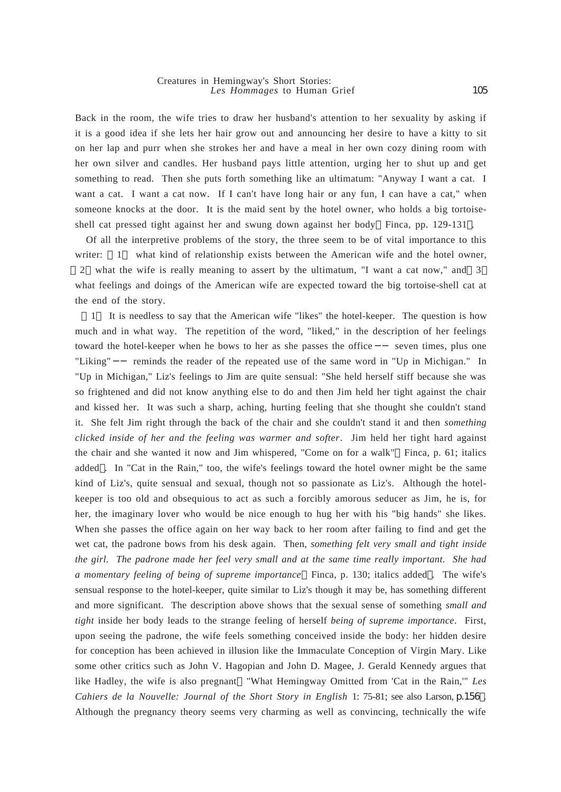Back in the room, the wife tries to draw her husband's attention to her sexuality by asking if it is a good idea if she lets her hair grow out and announcing her desire to have a kitty to sit on her lap and purr when she strokes her and have a meal in her own cozy dining room with her own silver and candles. Her husband pays little attention, urging her to shut up and get something to read. Then she puts forth something like an ultimatum: "Anyway I want a cat. I want a cat. I want a cat now. If I can't have long hair or any fun, I can have a cat," when someone knocks at the door. It is the maid sent by the hotel owner, who holds a big tortoiseshell cat pressed tight against her and swung down against her body Finca, pp. 129-131 .

Of all the interpretive problems of the story, the three seem to be of vital importance to this writer: 1 what kind of relationship exists between the American wife and the hotel owner, 2 what the wife is really meaning to assert by the ultimatum, "I want a cat now," and 3 what feelings and doings of the American wife are expected toward the big tortoise-shell cat at the end of the story.

1 It is needless to say that the American wife "likes" the hotel-keeper. The question is how much and in what way. The repetition of the word, "liked," in the description of her feelings toward the hotel-keeper when he bows to her as she passes the office seven times, plus one "Liking" reminds the reader of the repeated use of the same word in "Up in Michigan." In "Up in Michigan," Liz's feelings to Jim are quite sensual: "She held herself stiff because she was so frightened and did not know anything else to do and then Jim held her tight against the chair and kissed her. It was such a sharp, aching, hurting feeling that she thought she couldn't stand it. She felt Jim right through the back of the chair and she couldn't stand it and then *something clicked inside of her and the feeling was warmer and softer*. Jim held her tight hard against the chair and she wanted it now and Jim whispered, "Come on for a walk" Finca, p. 61; italics added . In "Cat in the Rain," too, the wife's feelings toward the hotel owner might be the same kind of Liz's, quite sensual and sexual, though not so passionate as Liz's. Although the hotelkeeper is too old and obsequious to act as such a forcibly amorous seducer as Jim, he is, for her, the imaginary lover who would be nice enough to hug her with his "big hands" she likes. When she passes the office again on her way back to her room after failing to find and get the wet cat, the padrone bows from his desk again. Then, *something felt very small and tight inside the girl. The padrone made her feel very small and at the same time really important. She had a momentary feeling of being of supreme importance* Finca, p. 130; italics added . The wife's sensual response to the hotel-keeper, quite similar to Liz's though it may be, has something different and more significant. The description above shows that the sexual sense of something *small and tight* inside her body leads to the strange feeling of herself *being of supreme importance*. First, upon seeing the padrone, the wife feels something conceived inside the body: her hidden desire for conception has been achieved in illusion like the Immaculate Conception of Virgin Mary. Like some other critics such as John V. Hagopian and John D. Magee, J. Gerald Kennedy argues that like Hadley, the wife is also pregnant "What Hemingway Omitted from 'Cat in the Rain,'" *Les Cahiers de la Nouvelle: Journal of the Short Story in English* 1: 75-81; see also Larson, p.156). Although the pregnancy theory seems very charming as well as convincing, technically the wife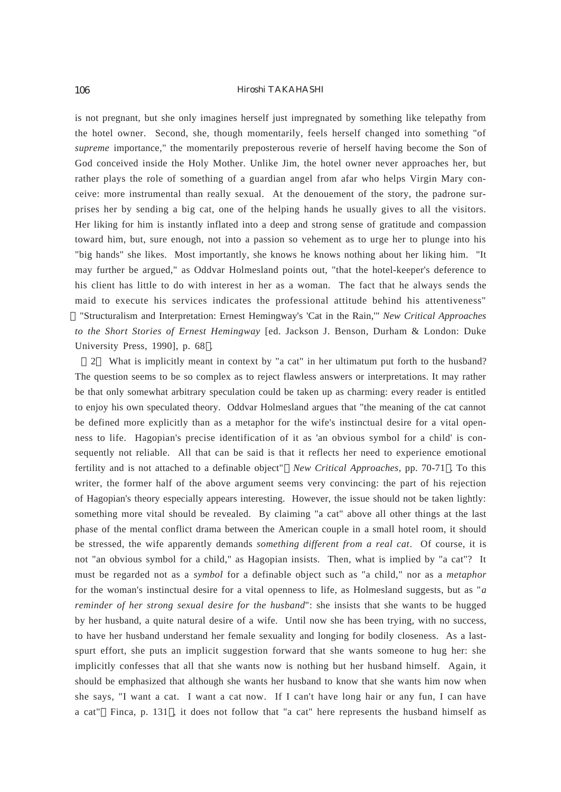is not pregnant, but she only imagines herself just impregnated by something like telepathy from the hotel owner. Second, she, though momentarily, feels herself changed into something "of *supreme* importance," the momentarily preposterous reverie of herself having become the Son of God conceived inside the Holy Mother. Unlike Jim, the hotel owner never approaches her, but rather plays the role of something of a guardian angel from afar who helps Virgin Mary conceive: more instrumental than really sexual. At the denouement of the story, the padrone surprises her by sending a big cat, one of the helping hands he usually gives to all the visitors. Her liking for him is instantly inflated into a deep and strong sense of gratitude and compassion toward him, but, sure enough, not into a passion so vehement as to urge her to plunge into his "big hands" she likes. Most importantly, she knows he knows nothing about her liking him. "It may further be argued," as Oddvar Holmesland points out, "that the hotel-keeper's deference to his client has little to do with interest in her as a woman. The fact that he always sends the maid to execute his services indicates the professional attitude behind his attentiveness" "Structuralism and Interpretation: Ernest Hemingway's 'Cat in the Rain,'" *New Critical Approaches to the Short Stories of Ernest Hemingway* [ed. Jackson J. Benson, Durham & London: Duke University Press, 1990], p. 68 .

2 What is implicitly meant in context by "a cat" in her ultimatum put forth to the husband? The question seems to be so complex as to reject flawless answers or interpretations. It may rather be that only somewhat arbitrary speculation could be taken up as charming: every reader is entitled to enjoy his own speculated theory. Oddvar Holmesland argues that "the meaning of the cat cannot be defined more explicitly than as a metaphor for the wife's instinctual desire for a vital openness to life. Hagopian's precise identification of it as 'an obvious symbol for a child' is consequently not reliable. All that can be said is that it reflects her need to experience emotional fertility and is not attached to a definable object" *New Critical Approaches*, pp. 70-71 . To this writer, the former half of the above argument seems very convincing: the part of his rejection of Hagopian's theory especially appears interesting. However, the issue should not be taken lightly: something more vital should be revealed. By claiming "a cat" above all other things at the last phase of the mental conflict drama between the American couple in a small hotel room, it should be stressed, the wife apparently demands *something different from a real cat*. Of course, it is not "an obvious symbol for a child," as Hagopian insists. Then, what is implied by "a cat"? It must be regarded not as a *symbol* for a definable object such as "a child," nor as a *metaphor* for the woman's instinctual desire for a vital openness to life, as Holmesland suggests, but as "*a reminder of her strong sexual desire for the husband*": she insists that she wants to be hugged by her husband, a quite natural desire of a wife. Until now she has been trying, with no success, to have her husband understand her female sexuality and longing for bodily closeness. As a lastspurt effort, she puts an implicit suggestion forward that she wants someone to hug her: she implicitly confesses that all that she wants now is nothing but her husband himself. Again, it should be emphasized that although she wants her husband to know that she wants him now when she says, "I want a cat. I want a cat now. If I can't have long hair or any fun, I can have a cat" Finca, p. 131 , it does not follow that "a cat" here represents the husband himself as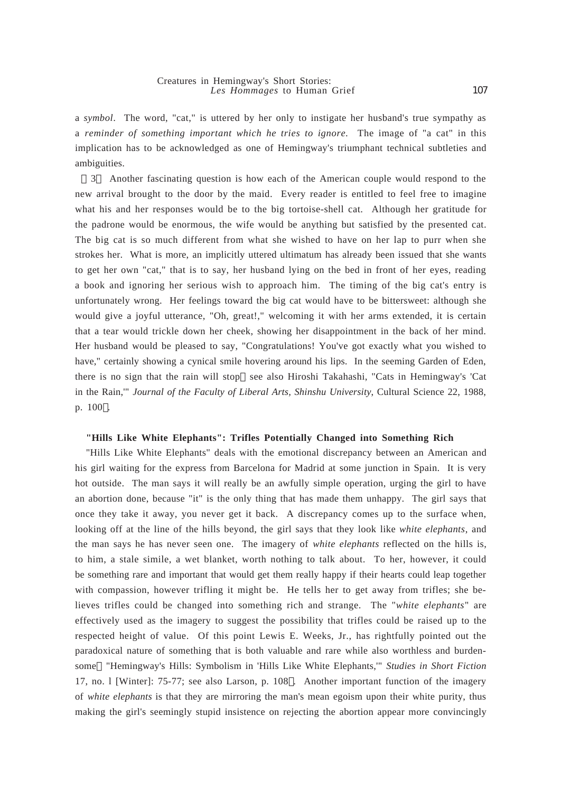a *symbol*. The word, "cat," is uttered by her only to instigate her husband's true sympathy as a *reminder of something important which he tries to ignore*. The image of "a cat" in this implication has to be acknowledged as one of Hemingway's triumphant technical subtleties and ambiguities.

3 Another fascinating question is how each of the American couple would respond to the new arrival brought to the door by the maid. Every reader is entitled to feel free to imagine what his and her responses would be to the big tortoise-shell cat. Although her gratitude for the padrone would be enormous, the wife would be anything but satisfied by the presented cat. The big cat is so much different from what she wished to have on her lap to purr when she strokes her. What is more, an implicitly uttered ultimatum has already been issued that she wants to get her own "cat," that is to say, her husband lying on the bed in front of her eyes, reading a book and ignoring her serious wish to approach him. The timing of the big cat's entry is unfortunately wrong. Her feelings toward the big cat would have to be bittersweet: although she would give a joyful utterance, "Oh, great!," welcoming it with her arms extended, it is certain that a tear would trickle down her cheek, showing her disappointment in the back of her mind. Her husband would be pleased to say, "Congratulations! You've got exactly what you wished to have," certainly showing a cynical smile hovering around his lips. In the seeming Garden of Eden, there is no sign that the rain will stop see also Hiroshi Takahashi, "Cats in Hemingway's 'Cat in the Rain,'" *Journal of the Faculty of Liberal Arts, Shinshu University*, Cultural Science 22, 1988, p. 100 .

# **"Hills Like White Elephants": Trifles Potentially Changed into Something Rich**

"Hills Like White Elephants" deals with the emotional discrepancy between an American and his girl waiting for the express from Barcelona for Madrid at some junction in Spain. It is very hot outside. The man says it will really be an awfully simple operation, urging the girl to have an abortion done, because "it" is the only thing that has made them unhappy. The girl says that once they take it away, you never get it back. A discrepancy comes up to the surface when, looking off at the line of the hills beyond, the girl says that they look like *white elephants*, and the man says he has never seen one. The imagery of *white elephants* reflected on the hills is, to him, a stale simile, a wet blanket, worth nothing to talk about. To her, however, it could be something rare and important that would get them really happy if their hearts could leap together with compassion, however trifling it might be. He tells her to get away from trifles; she believes trifles could be changed into something rich and strange. The "*white elephants*" are effectively used as the imagery to suggest the possibility that trifles could be raised up to the respected height of value. Of this point Lewis E. Weeks, Jr., has rightfully pointed out the paradoxical nature of something that is both valuable and rare while also worthless and burdensome "Hemingway's Hills: Symbolism in 'Hills Like White Elephants,'" *Studies in Short Fiction* 17, no. l [Winter]: 75-77; see also Larson, p. 108 . Another important function of the imagery of *white elephants* is that they are mirroring the man's mean egoism upon their white purity, thus making the girl's seemingly stupid insistence on rejecting the abortion appear more convincingly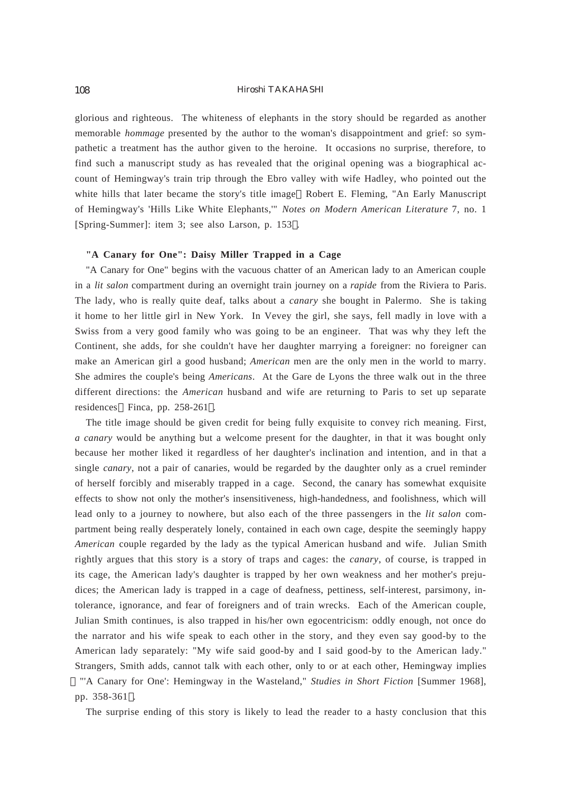glorious and righteous. The whiteness of elephants in the story should be regarded as another memorable *hommage* presented by the author to the woman's disappointment and grief: so sympathetic a treatment has the author given to the heroine. It occasions no surprise, therefore, to find such a manuscript study as has revealed that the original opening was a biographical account of Hemingway's train trip through the Ebro valley with wife Hadley, who pointed out the white hills that later became the story's title image Robert E. Fleming, "An Early Manuscript" of Hemingway's 'Hills Like White Elephants,'" *Notes on Modern American Literature* 7, no. 1 [Spring-Summer]: item 3; see also Larson, p. 153 .

# **"A Canary for One": Daisy Miller Trapped in a Cage**

"A Canary for One" begins with the vacuous chatter of an American lady to an American couple in a *lit salon* compartment during an overnight train journey on a *rapide* from the Riviera to Paris. The lady, who is really quite deaf, talks about a *canary* she bought in Palermo. She is taking it home to her little girl in New York. In Vevey the girl, she says, fell madly in love with a Swiss from a very good family who was going to be an engineer. That was why they left the Continent, she adds, for she couldn't have her daughter marrying a foreigner: no foreigner can make an American girl a good husband; *American* men are the only men in the world to marry. She admires the couple's being *Americans*. At the Gare de Lyons the three walk out in the three different directions: the *American* husband and wife are returning to Paris to set up separate residences Finca, pp. 258-261 .

The title image should be given credit for being fully exquisite to convey rich meaning. First, *a canary* would be anything but a welcome present for the daughter, in that it was bought only because her mother liked it regardless of her daughter's inclination and intention, and in that a single *canary*, not a pair of canaries, would be regarded by the daughter only as a cruel reminder of herself forcibly and miserably trapped in a cage. Second, the canary has somewhat exquisite effects to show not only the mother's insensitiveness, high-handedness, and foolishness, which will lead only to a journey to nowhere, but also each of the three passengers in the *lit salon* compartment being really desperately lonely, contained in each own cage, despite the seemingly happy *American* couple regarded by the lady as the typical American husband and wife. Julian Smith rightly argues that this story is a story of traps and cages: the *canary*, of course, is trapped in its cage, the American lady's daughter is trapped by her own weakness and her mother's prejudices; the American lady is trapped in a cage of deafness, pettiness, self-interest, parsimony, intolerance, ignorance, and fear of foreigners and of train wrecks. Each of the American couple, Julian Smith continues, is also trapped in his/her own egocentricism: oddly enough, not once do the narrator and his wife speak to each other in the story, and they even say good-by to the American lady separately: "My wife said good-by and I said good-by to the American lady." Strangers, Smith adds, cannot talk with each other, only to or at each other, Hemingway implies "'A Canary for One': Hemingway in the Wasteland," *Studies in Short Fiction* [Summer 1968], pp. 358-361 .

The surprise ending of this story is likely to lead the reader to a hasty conclusion that this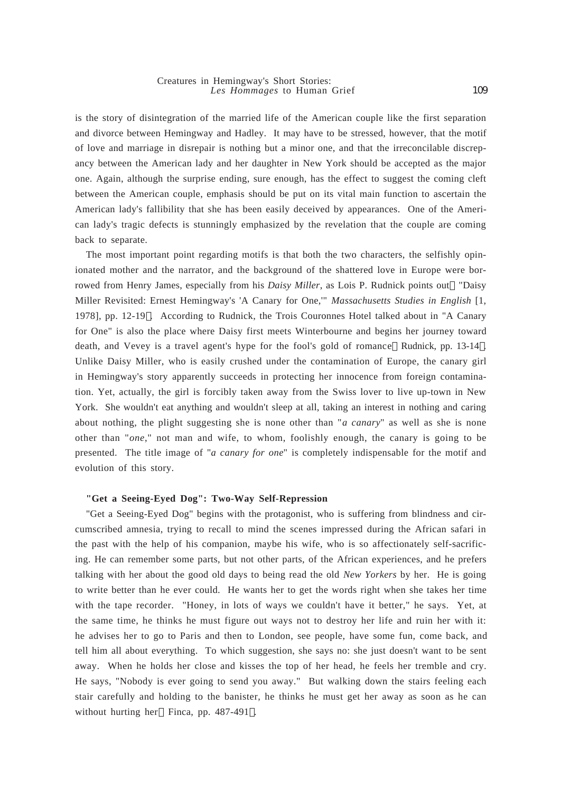#### Creatures in Hemingway's Short Stories: *Les Hommages* to Human Grief

is the story of disintegration of the married life of the American couple like the first separation and divorce between Hemingway and Hadley. It may have to be stressed, however, that the motif of love and marriage in disrepair is nothing but a minor one, and that the irreconcilable discrepancy between the American lady and her daughter in New York should be accepted as the major one. Again, although the surprise ending, sure enough, has the effect to suggest the coming cleft between the American couple, emphasis should be put on its vital main function to ascertain the American lady's fallibility that she has been easily deceived by appearances. One of the American lady's tragic defects is stunningly emphasized by the revelation that the couple are coming back to separate.

The most important point regarding motifs is that both the two characters, the selfishly opinionated mother and the narrator, and the background of the shattered love in Europe were borrowed from Henry James, especially from his *Daisy Miller*, as Lois P. Rudnick points out "Daisy Miller Revisited: Ernest Hemingway's 'A Canary for One,'" *Massachusetts Studies in English* [1, 1978], pp. 12-19 . According to Rudnick, the Trois Couronnes Hotel talked about in "A Canary for One" is also the place where Daisy first meets Winterbourne and begins her journey toward death, and Vevey is a travel agent's hype for the fool's gold of romance Rudnick, pp. 13-14 . Unlike Daisy Miller, who is easily crushed under the contamination of Europe, the canary girl in Hemingway's story apparently succeeds in protecting her innocence from foreign contamination. Yet, actually, the girl is forcibly taken away from the Swiss lover to live up-town in New York. She wouldn't eat anything and wouldn't sleep at all, taking an interest in nothing and caring about nothing, the plight suggesting she is none other than "*a canary*" as well as she is none other than "*one*," not man and wife, to whom, foolishly enough, the canary is going to be presented. The title image of "*a canary for one*" is completely indispensable for the motif and evolution of this story.

#### **"Get a Seeing-Eyed Dog": Two-Way Self-Repression**

"Get a Seeing-Eyed Dog" begins with the protagonist, who is suffering from blindness and circumscribed amnesia, trying to recall to mind the scenes impressed during the African safari in the past with the help of his companion, maybe his wife, who is so affectionately self-sacrificing. He can remember some parts, but not other parts, of the African experiences, and he prefers talking with her about the good old days to being read the old *New Yorkers* by her. He is going to write better than he ever could. He wants her to get the words right when she takes her time with the tape recorder. "Honey, in lots of ways we couldn't have it better," he says. Yet, at the same time, he thinks he must figure out ways not to destroy her life and ruin her with it: he advises her to go to Paris and then to London, see people, have some fun, come back, and tell him all about everything. To which suggestion, she says no: she just doesn't want to be sent away. When he holds her close and kisses the top of her head, he feels her tremble and cry. He says, "Nobody is ever going to send you away." But walking down the stairs feeling each stair carefully and holding to the banister, he thinks he must get her away as soon as he can without hurting her Finca, pp. 487-491 .

109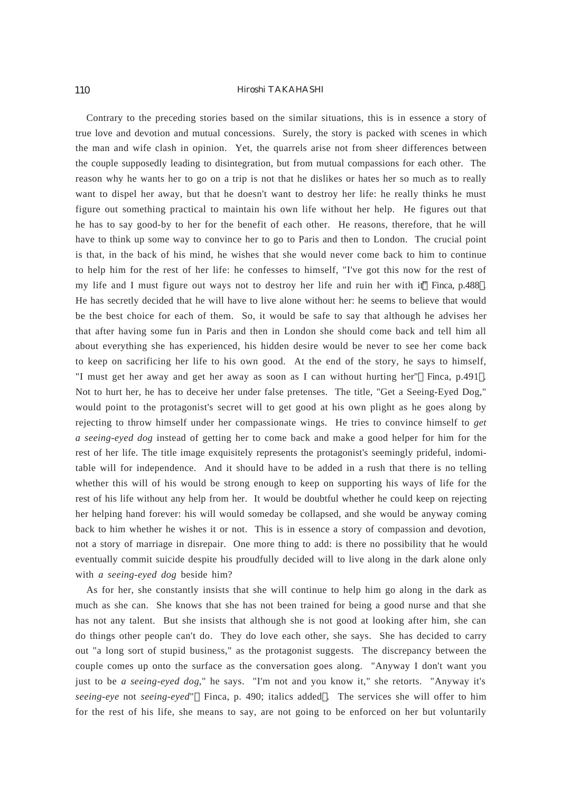Contrary to the preceding stories based on the similar situations, this is in essence a story of true love and devotion and mutual concessions. Surely, the story is packed with scenes in which the man and wife clash in opinion. Yet, the quarrels arise not from sheer differences between the couple supposedly leading to disintegration, but from mutual compassions for each other. The reason why he wants her to go on a trip is not that he dislikes or hates her so much as to really want to dispel her away, but that he doesn't want to destroy her life: he really thinks he must figure out something practical to maintain his own life without her help. He figures out that he has to say good-by to her for the benefit of each other. He reasons, therefore, that he will have to think up some way to convince her to go to Paris and then to London. The crucial point is that, in the back of his mind, he wishes that she would never come back to him to continue to help him for the rest of her life: he confesses to himself, "I've got this now for the rest of my life and I must figure out ways not to destroy her life and ruin her with it" Finca, p.488 . He has secretly decided that he will have to live alone without her: he seems to believe that would be the best choice for each of them. So, it would be safe to say that although he advises her that after having some fun in Paris and then in London she should come back and tell him all about everything she has experienced, his hidden desire would be never to see her come back to keep on sacrificing her life to his own good. At the end of the story, he says to himself, "I must get her away and get her away as soon as I can without hurting her" Finca, p.491 . Not to hurt her, he has to deceive her under false pretenses. The title, "Get a Seeing-Eyed Dog," would point to the protagonist's secret will to get good at his own plight as he goes along by rejecting to throw himself under her compassionate wings. He tries to convince himself to *get a seeing-eyed dog* instead of getting her to come back and make a good helper for him for the rest of her life. The title image exquisitely represents the protagonist's seemingly prideful, indomitable will for independence. And it should have to be added in a rush that there is no telling whether this will of his would be strong enough to keep on supporting his ways of life for the rest of his life without any help from her. It would be doubtful whether he could keep on rejecting her helping hand forever: his will would someday be collapsed, and she would be anyway coming back to him whether he wishes it or not. This is in essence a story of compassion and devotion, not a story of marriage in disrepair. One more thing to add: is there no possibility that he would eventually commit suicide despite his proudfully decided will to live along in the dark alone only with *a seeing-eyed dog* beside him?

As for her, she constantly insists that she will continue to help him go along in the dark as much as she can. She knows that she has not been trained for being a good nurse and that she has not any talent. But she insists that although she is not good at looking after him, she can do things other people can't do. They do love each other, she says. She has decided to carry out "a long sort of stupid business," as the protagonist suggests. The discrepancy between the couple comes up onto the surface as the conversation goes along. "Anyway I don't want you just to be *a seeing-eyed dog*," he says. "I'm not and you know it," she retorts. "Anyway it's *seeing-eye* not *seeing-eyed*" Finca, p. 490; italics added . The services she will offer to him for the rest of his life, she means to say, are not going to be enforced on her but voluntarily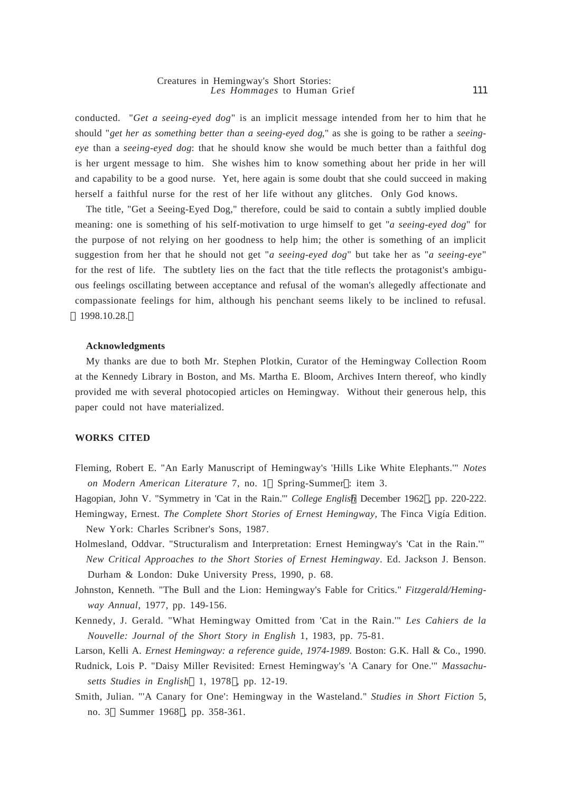111

conducted. "*Get a seeing-eyed dog*" is an implicit message intended from her to him that he should "*get her as something better than a seeing-eyed dog*," as she is going to be rather a *seeingeye* than a *seeing-eyed dog*: that he should know she would be much better than a faithful dog is her urgent message to him. She wishes him to know something about her pride in her will and capability to be a good nurse. Yet, here again is some doubt that she could succeed in making herself a faithful nurse for the rest of her life without any glitches. Only God knows.

The title, "Get a Seeing-Eyed Dog," therefore, could be said to contain a subtly implied double meaning: one is something of his self-motivation to urge himself to get "*a seeing-eyed dog*" for the purpose of not relying on her goodness to help him; the other is something of an implicit suggestion from her that he should not get "*a seeing-eyed dog*" but take her as "*a seeing-eye*" for the rest of life. The subtlety lies on the fact that the title reflects the protagonist's ambiguous feelings oscillating between acceptance and refusal of the woman's allegedly affectionate and compassionate feelings for him, although his penchant seems likely to be inclined to refusal. 1998.10.28.

#### **Acknowledgments**

My thanks are due to both Mr. Stephen Plotkin, Curator of the Hemingway Collection Room at the Kennedy Library in Boston, and Ms. Martha E. Bloom, Archives Intern thereof, who kindly provided me with several photocopied articles on Hemingway. Without their generous help, this paper could not have materialized.

# **WORKS CITED**

Fleming, Robert E. "An Early Manuscript of Hemingway's 'Hills Like White Elephants.'" *Notes on Modern American Literature* 7, no. 1 Spring-Summer : item 3.

Hagopian, John V. "Symmetry in 'Cat in the Rain.'" *College English* December 1962 , pp. 220-222. Hemingway, Ernest. *The Complete Short Stories of Ernest Hemingway,* The Finca Vigía Edition. New York: Charles Scribner's Sons, 1987.

- Holmesland, Oddvar. "Structuralism and Interpretation: Ernest Hemingway's 'Cat in the Rain.'" *New Critical Approaches to the Short Stories of Ernest Hemingway*. Ed. Jackson J. Benson. Durham & London: Duke University Press, 1990, p. 68.
- Johnston, Kenneth. "The Bull and the Lion: Hemingway's Fable for Critics." *Fitzgerald/Hemingway Annual*, 1977, pp. 149-156.
- Kennedy, J. Gerald. "What Hemingway Omitted from 'Cat in the Rain.'" *Les Cahiers de la Nouvelle: Journal of the Short Story in English* 1, 1983, pp. 75-81.

Larson, Kelli A. *Ernest Hemingway: a reference guide*, *1974-1989*. Boston: G.K. Hall & Co., 1990.

- Rudnick, Lois P. "Daisy Miller Revisited: Ernest Hemingway's 'A Canary for One.'" *Massachusetts Studies in English* 1, 1978 , pp. 12-19.
- Smith, Julian. "'A Canary for One': Hemingway in the Wasteland." *Studies in Short Fiction* 5, no. 3 Summer 1968 , pp. 358-361.